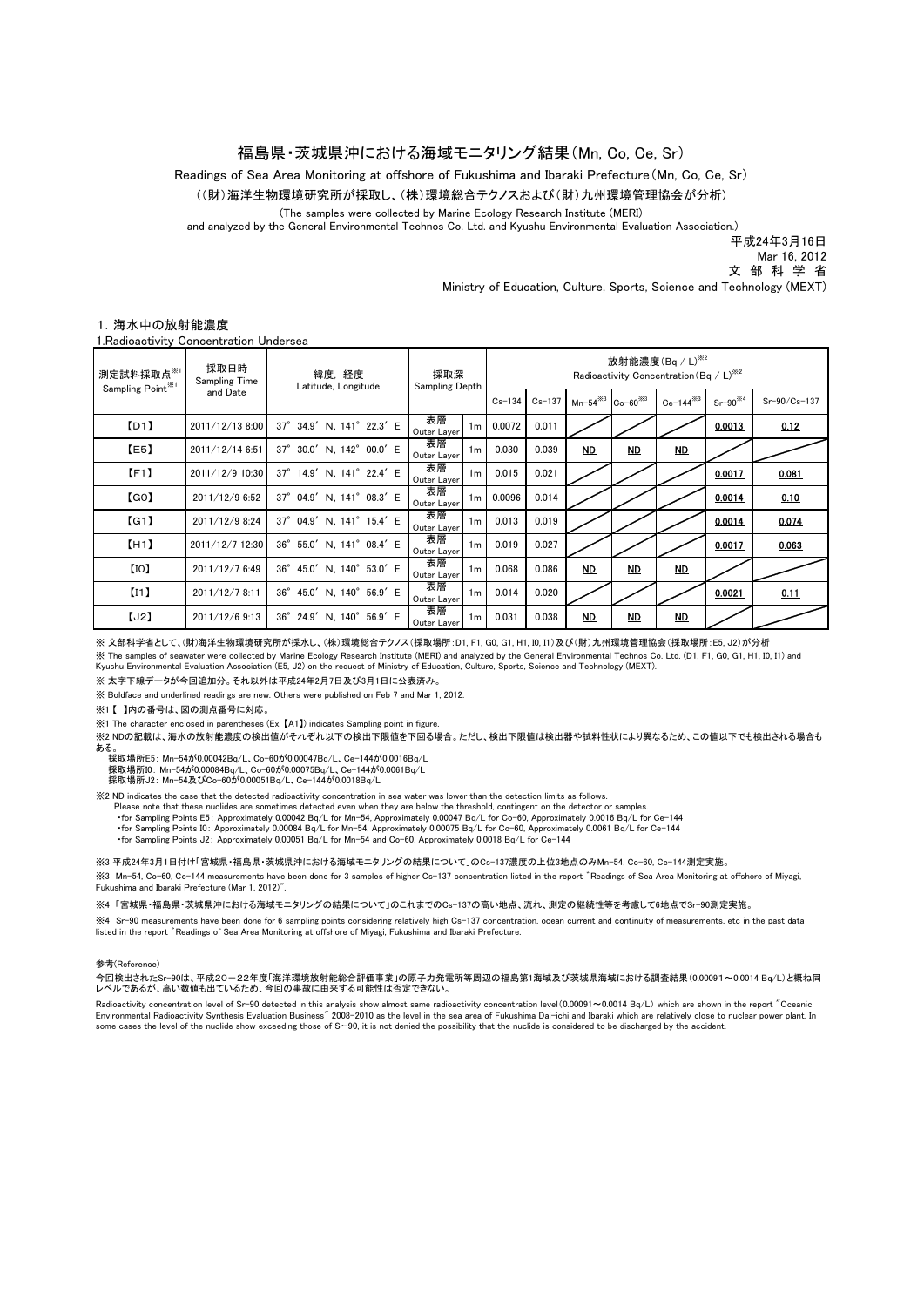# 福島県・茨城県沖における海域モニタリング結果(Mn, Co, Ce, Sr)

Readings of Sea Area Monitoring at offshore of Fukushima and Ibaraki Prefecture(Mn, Co, Ce, Sr) (The samples were collected by Marine Ecology Research Institute (MERI) and analyzed by the General Environmental Technos Co. Ltd. and Kyushu Environmental Evaluation Association.) ((財)海洋生物環境研究所が採取し、(株)環境総合テクノスおよび(財)九州環境管理協会が分析)

平成24年3月16日

 Mar 16, 2012 文 部 科 学 省

Ministry of Education, Culture, Sports, Science and Technology (MEXT)

## 1.海水中の放射能濃度

1.Radioactivity Concentration Undersea

| 測定試料採取点 <sup>※1</sup><br>Sampling Point <sup>*1</sup> | 採取日時<br>Sampling Time<br>and Date | 緯度,経度<br>Latitude, Longitude | 採取深<br>Sampling Depth               |            | 放射能濃度 $($ Bq / L $)$ <sup>382</sup><br>Radioactivity Concentration (Bq / L) <sup>362</sup> |                                         |    |                |              |              |  |
|-------------------------------------------------------|-----------------------------------|------------------------------|-------------------------------------|------------|--------------------------------------------------------------------------------------------|-----------------------------------------|----|----------------|--------------|--------------|--|
|                                                       |                                   |                              |                                     | $Cs - 134$ | $Cs-137$                                                                                   | Mn-54 <sup>3</sup> Co-60 <sup>383</sup> |    | $Ce-144^{3/3}$ | $Sr-90^{34}$ | Sr-90/Cs-137 |  |
| [D1]                                                  | 2011/12/13 8:00                   | 37° 34.9' N, 141° 22.3' E    | 表層<br>1 <sub>m</sub><br>Outer Layer | 0.0072     | 0.011                                                                                      |                                         |    |                | 0.0013       | 0.12         |  |
| [E5]                                                  | 2011/12/14 6:51                   | 37° 30.0' N, 142° 00.0' E    | 表層<br>1 <sub>m</sub><br>Outer Layer | 0.030      | 0.039                                                                                      | <b>ND</b>                               | ND | ND             |              |              |  |
| [F1]                                                  | 2011/12/9 10:30                   | 37° 14.9' N, 141° 22.4' E    | 表層<br>1 <sub>m</sub><br>Outer Layer | 0.015      | 0.021                                                                                      |                                         |    |                | 0.0017       | 0.081        |  |
| [GO]                                                  | 2011/12/9 6:52                    | 37° 04.9' N, 141° 08.3' E    | 表層<br>1m<br>Outer Layer             | 0.0096     | 0.014                                                                                      |                                         |    |                | 0.0014       | 0.10         |  |
| [G1]                                                  | 2011/12/9 8:24                    | 37° 04.9' N, 141° 15.4' E    | 表層<br>1 <sub>m</sub><br>Outer Layer | 0.013      | 0.019                                                                                      |                                         |    |                | 0.0014       | 0.074        |  |
| [H1]                                                  | 2011/12/7 12:30                   | 36° 55.0' N, 141° 08.4' E    | 表層<br>1 <sub>m</sub><br>Outer Layer | 0.019      | 0.027                                                                                      |                                         |    |                | 0.0017       | 0.063        |  |
| [10]                                                  | 2011/12/7 6:49                    | 36° 45.0' N, 140° 53.0' E    | 表層<br>1 <sub>m</sub><br>Outer Layer | 0.068      | 0.086                                                                                      | <b>ND</b>                               | ND | MD             |              |              |  |
| (11)                                                  | 2011/12/7 8:11                    | 36° 45.0' N, 140° 56.9' E    | 表層<br>1 <sub>m</sub><br>Outer Layer | 0.014      | 0.020                                                                                      |                                         |    |                | 0.0021       | 0.11         |  |
| [J2]                                                  | 2011/12/6 9:13                    | 36° 24.9' N, 140° 56.9' E    | 表層<br>1 <sub>m</sub><br>Outer Layer | 0.031      | 0.038                                                                                      | ND                                      | ND | ND             |              |              |  |

※ 文部科学省として、(財)海洋生物環境研究所が採水し、(株)環境総合テクノス(採取場所:D1, F1, G0, G1, H1, I0, I1)及び(財)九州環境管理協会(採取場所:E5, J2)が分析 ※ The samples of seawater were collected by Marine Ecology Research Institute (MERI) and analyzed by the General Environmental Technos Co. Ltd. (D1, F1, G0, G1, H1, I0, I1) and

Kyushu Environmental Evaluation Association (E5, J2) on the request of Ministry of Education, Culture, Sports, Science and Technology (MEXT).

※ 太字下線データが今回追加分。それ以外は平成24年2月7日及び3月1日に公表済み。

※ Boldface and underlined readings are new. Others were published on Feb 7 and Mar 1, 2012.

※1 【 】内の番号は、図の測点番号に対応。

※1 The character enclosed in parentheses (Ex. 【A1】) indicates Sampling point in figure.

※2 NDの記載は、海水の放射能濃度の検出値がそれぞれ以下の検出下限値を下回る場合。ただし、検出下限値は検出器や試料性状により異なるため、この値以下でも検出される場合も ある。 採取場所E5: Mn-54が0.00042Bq/L、Co-60が0.00047Bq/L、Ce-144が0.0016Bq/L

採取場所I0:Mn-54が0.00084Bq/L、Co-60が0.00075Bq/L、Ce-144が0.0061Bq/L<br>採取場所J2: Mn-54及びCo-60が0.00051Bq/L、Ce-144が0.0018Bq/L

※2 ND indicates the case that the detected radioactivity concentration in sea water was lower than the detection limits as follows.

Please note that these nuclides are sometimes detected even when they are below the threshold, contingent on the detector or samples.

for Sampling Points E5: Approximately 0.00042 Bq/L for Mn−54, Approximately 0.00047 Bq/L for Co−60, Approximately 0.0016 Bq/L for Ce−144∙<br>for Sampling Points I0: Approximately 0.00084 Bq/L for Mn−54, Approximately 0.00075

・for Sampling Points J2: Approximately 0.00051 Bq/L for Mn-54 and Co-60, Approximately 0.0018 Bq/L for Ce-144

※3 Mn-54, Co-60, Ce-144 measurements have been done for 3 samples of higher Cs-137 concentration listed in the report ゛Readings of Sea Area Monitoring at offshore of Miyagi, Fukushima and Ibaraki Prefecture (Mar 1, 2012)". ※3 平成24年3月1日付け「宮城県・福島県・茨城県沖における海域モニタリングの結果について」のCs-137濃度の上位3地点のみMn-54, Co-60, Ce-144測定実施。

※4 「宮城県・福島県・茨城県沖における海域モニタリングの結果について」のこれまでのCs-137の高い地点、流れ、測定の継続性等を考慮して6地点でSr-90測定実施。

※4 Sr-90 measurements have been done for 6 sampling points considering relatively high Cs-137 concentration, ocean current and continuity of measurements, etc in the past data listed in the report 〝Readings of Sea Area Monitoring at offshore of Miyagi, Fukushima and Ibaraki Prefecture.

### 参考(Reference)

今回検出されたSr-90は、平成20-22年度「海洋環境放射能総合評価事業」の原子力発電所等周辺の福島第1海域及び茨城県海域における調査結果(0.00091~0.0014 Bq/L)と概ね同 レベルであるが、高い数値も出ているため、今回の事故に由来する可能性は否定できない。

Radioactivity concentration level of Sr−90 detected in this analysis show almost same radioactivity concentration level(0.00091∼0.0014 Bq/L) which are shown in the report "Oceanic<br>Environmental Radioactivity Synthesis Eva some cases the level of the nuclide show exceeding those of Sr-90, it is not denied the possibility that the nuclide is considered to be discharged by the accident.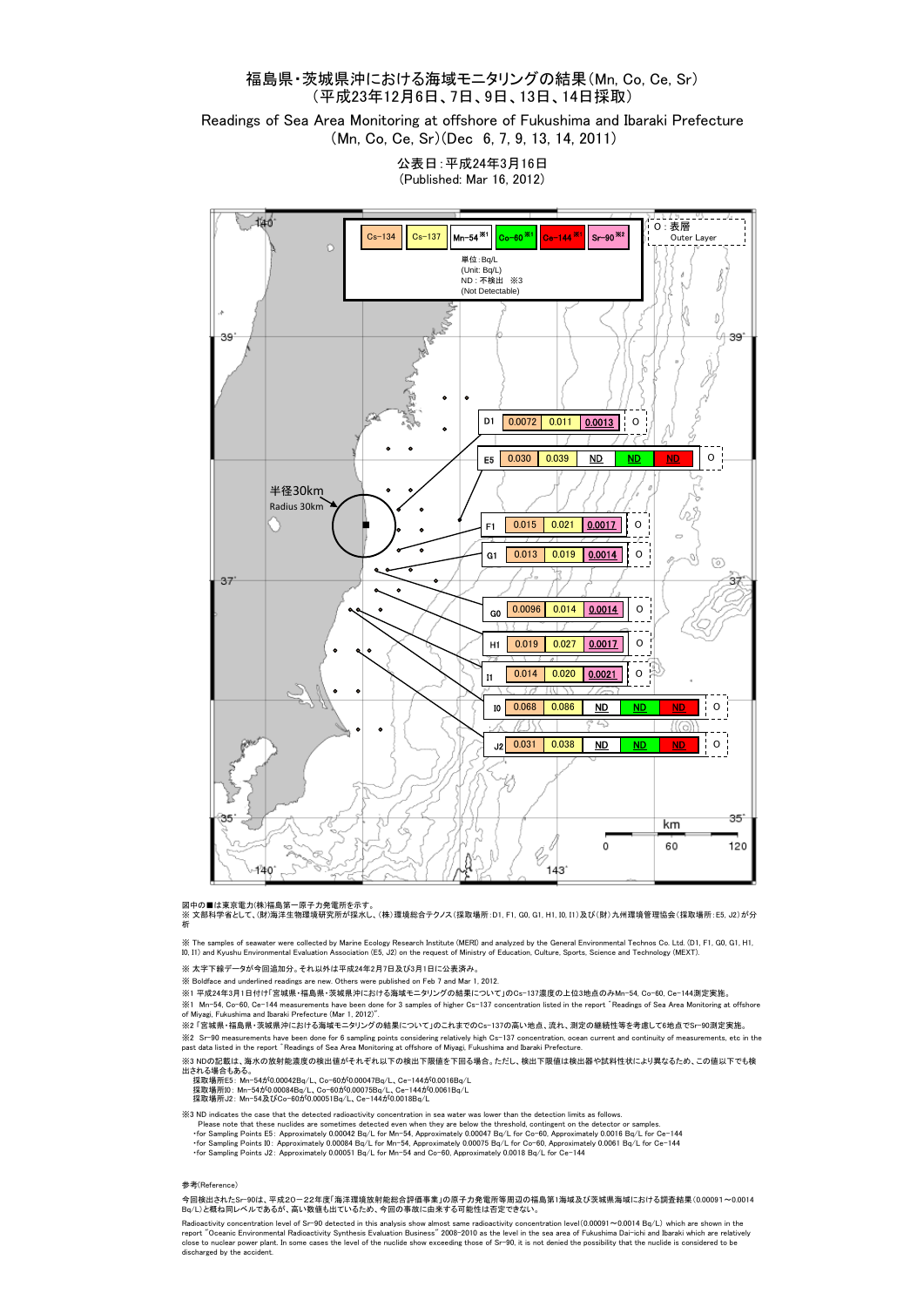# 福島県・茨城県沖における海域モニタリングの結果(Mn, Co, Ce, Sr) (平成23年12月6日、7日、9日、13日、14日採取)

Readings of Sea Area Monitoring at offshore of Fukushima and Ibaraki Prefecture (Mn, Co, Ce, Sr)(Dec 6, 7, 9, 13, 14, 2011)

> 公表日:平成24年3月16日 (Published: Mar 16, 2012)



図中の■は東京電力(株)福島第一原子力発電所を示す。<br>※ 文部科学省として、(財)海洋生物環境研究所が採水し、(株) 環境総合テクノス(採取場所: D1, F1, G0, G1, H1, I0, I1) 及び(財) 九州環境管理協会(採取場所: E5, J2)が分 析

※ The samples of seawater were collected by Marine Ecology Research Institute (MERI) and analyzed by the General Environmental Technos Co. Ltd. (D1, F1, G0, G1, H1, I0, I1) and Kyushu Environmental Evaluation Association (E5, J2) on the request of Ministry of Education, Culture, Sports, Science and Technology (MEXT).

※ 太字下線データが今回追加分。それ以外は平成24年2月7日及び3月1日に公表済み。

※ Boldface and underlined readings are new. Others were published on Feb 7 and Mar 1, 2012.

※1 平成24年3月1日付け「宮城県・福島県・茨城県沖における海域モニタリングの結果について」のCs-137濃度の上位3地点のみMn-54, Co-60, Ce-144測定実施。 ※1 Mn-54, Co-60, Ce-144 measurements have been done for 3 samples of higher Cs-137 concentration listed in the report ゛Readings of Sea Area Monitoring at offshore of Miyagi, Fukushima and Ibaraki Prefecture (Mar 1, 2012)".

※2 「宮城県・福島県・茨城県沖における海域モニタリングの結果について」のこれまでのCs-137の高い地点、流れ、測定の継続性等を考慮して6地点でSr-90測定実施。

※2 Sr-90 measurements have been done for 6 sampling points considering relatively high Cs-137 concentration, ocean current and continuity of measurements, etc in the<br>past data listed in the report »Readings of Sea Area Mon

※3 NDの記載は、海水の放射能濃度の検出値がそれぞれ以下の検出下限値を下回る場合。ただし、検出下限値は検出器や試料性状により異なるため、この値以下でも検 出される場合もある。<br> 採取場所E5: Mn-54が0.00042Bq/L、Co-60が0.00047Bq/L、Ce-144が0.0016Bq/L<br> 採取場所J2: Mn-54が0.00084Bq/L、Co-60が0.00075Bq/L、Ce-144が0.0018Bq/L<br> 採取場所J2: Mn-54及びCo-60が0.00051Bq/L、Ce-144が0.0018Bq/L

- $\%3$  ND indicates the case that the detected radioactivity concentration in sea water was lower than the detection limits as follows.<br>Please note that these nuclides are sometimes detected even when they are below the th
	-
	-

#### 参考(Reference)

今回検出されたSr-90は、平成20-22年度「海洋環境放射能総合評価事業」の原子力発電所等周辺の福島第1海域及び茨城県海域における調査結果(0.00091~0.0014 Bq/L)と概ね同レベルであるが、高い数値も出ているため、今回の事故に由来する可能性は否定できない。

Radioactivity concentration level of Sr-90 detected in this analysis show almost same radioactivity concentration level(0.00091~0.0014 Bq/L) which are shown in the<br>report "Oceanic Environmental Radioactivity Synthesis Eval